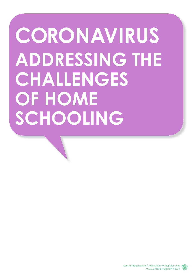# **CORONAVIRUS ADDRESSING THE CHALLENGES OF HOME SCHOOLING**

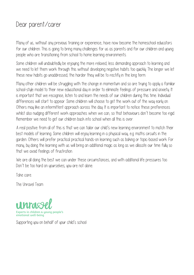### Dear parent/carer

Many of us, without any previous training or experience, have now become the homeschool educators for our children. This is going to bring many challenges for us as parents and for our children and young people who are transitioning from school to home learning environments.

Some children will undoubtedly be enjoying the more relaxed, less demanding approach to learning and we need to let them work through this without developing negative habits too quickly. The longer we let these new habits go unaddressed, the harder they will be to rectify in the long term.

Many other children will be struggling with the change in momentum and so are trying to apply a familiar school-style model to their new educational day in order to eliminate feelings of pressure and anxiety. It is important that we recognise, listen to and learn the needs of our children during this time. Individual differences will start to appear. Some children will choose to get the work out of the way early on. Others may like an intermittent approach across the day. It is important to notice these preferences whilst also nudging different work approaches when we can, so that behaviours don't become too rigid. Remember we need to get our children back into school when all this is over.

A real positive from all of this is that we can tailor our child's new learning environment to match their best models of learning. Some children will enjoy learning in a physical way, e.g. maths circuits in the garden. Others will prefer practical practical hands-on learning such as baking or topic-based work. For many, by doing the learning with us will bring an additional magic as long as we allocate our time fully so that we avoid feelings of frustration.

We are all doing the best we can under these circumstances, and with additional life pressures too. Don't be too hard on yourselves; you are not alone.

Take care.

The Unravel Team



Supporting you on behalf of your child's school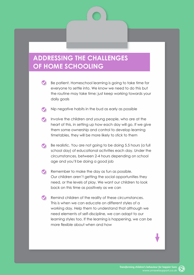#### **ADDRESSING THE CHALLENGES OF HOME SCHOOLING**

- Be patient. Homeschool learning is going to take time for everyone to settle into. We know we need to do this but the routine may take time; just keep working towards your daily goals
	- Nip negative habits in the bud as early as possible
- Involve the children and young people, who are at the heart of this, in setting up how each day will go. If we give them some ownership and control to develop learning timetables, they will be more likely to stick to them
- Be realistic. You are not going to be doing 5.5 hours (a full  $\bullet$ school day) of educational activities each day. Under the circumstances, between 2-4 hours depending on school age and you'll be doing a good job
- Remember to make the day as fun as possible.  $\bullet$ Our children aren't getting the social opportunities they need, or the levels of play. We want our children to look back on this time as positively as we can
- Remind children of the reality of these circumstances. This is when we can educate on different styles of a working day. Help them to understand that although we need elements of self-discipline, we can adapt to our learning styles too. If the learning is happening, we can be more flexible about when and how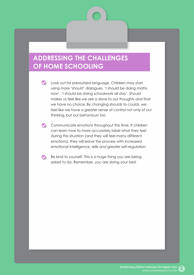#### **ADDRESSING THE CHALLENGES OF HOME SCHOOLING**

- Cook out for pressurised language. Children may start using more '*should*' dialogues, 'I should be doing maths now', 'I should be doing schoolwork all day'. *Should* makes us feel like we are a slave to our thoughts and that we have no choice. By changing *shoulds* to *coulds,* we feel like we have a greater sense of control not only of our thinking, but our behaviours too
- Communicate emotions throughout this time. If children can learn how to more accurately label what they feel during this situation (and they will feel many different emotions), they will leave the process with increased emotional intelligence, skills and greater self-regulation
- $\bullet$ Be kind to yourself. This is a huge thing you are being asked to do. Remember, you are doing your best